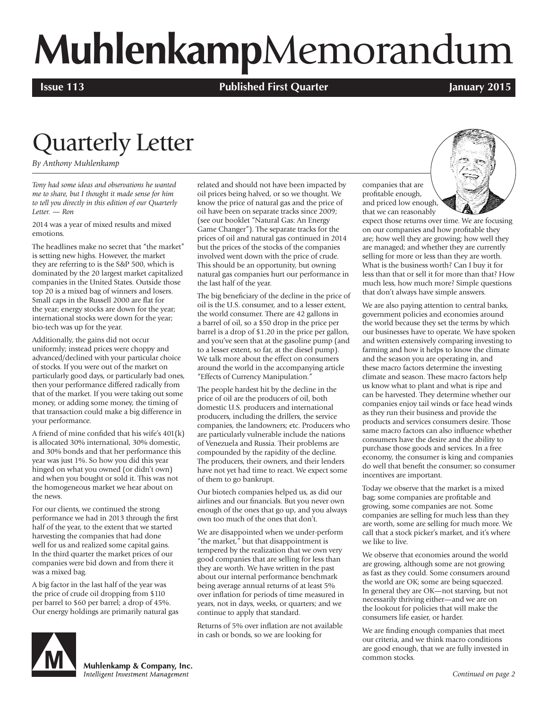# **Muhlenkamp**Memorandum

**Issue 113 Published First Quarter January 2015**

# Quarterly Letter

*By Anthony Muhlenkamp*

*Tony had some ideas and observations he wanted me to share, but I thought it made sense for him to tell you directly in this edition of our Quarterly Letter. — Ron*

2014 was a year of mixed results and mixed emotions.

The headlines make no secret that "the market" is setting new highs. However, the market they are referring to is the S&P 500, which is dominated by the 20 largest market capitalized companies in the United States. Outside those top 20 is a mixed bag of winners and losers. Small caps in the Russell 2000 are flat for the year; energy stocks are down for the year; international stocks were down for the year; bio-tech was up for the year.

Additionally, the gains did not occur uniformly; instead prices were choppy and advanced/declined with your particular choice of stocks. If you were out of the market on particularly good days, or particularly bad ones, then your performance differed radically from that of the market. If you were taking out some money, or adding some money, the timing of that transaction could make a big difference in your performance.

A friend of mine confided that his wife's 401(k) is allocated 30% international, 30% domestic, and 30% bonds and that her performance this year was just 1%. So how you did this year hinged on what you owned (or didn't own) and when you bought or sold it. This was not the homogeneous market we hear about on the news.

For our clients, we continued the strong performance we had in 2013 through the first half of the year, to the extent that we started harvesting the companies that had done well for us and realized some capital gains. In the third quarter the market prices of our companies were bid down and from there it was a mixed bag.

A big factor in the last half of the year was the price of crude oil dropping from \$110 per barrel to \$60 per barrel; a drop of 45%. Our energy holdings are primarily natural gas related and should not have been impacted by oil prices being halved, or so we thought. We know the price of natural gas and the price of oil have been on separate tracks since 2009; (see our booklet "Natural Gas: An Energy Game Changer"). The separate tracks for the prices of oil and natural gas continued in 2014 but the prices of the stocks of the companies involved went down with the price of crude. This should be an opportunity, but owning natural gas companies hurt our performance in the last half of the year.

The big beneficiary of the decline in the price of oil is the U.S. consumer, and to a lesser extent, the world consumer. There are 42 gallons in a barrel of oil, so a \$50 drop in the price per barrel is a drop of \$1.20 in the price per gallon, and you've seen that at the gasoline pump (and to a lesser extent, so far, at the diesel pump). We talk more about the effect on consumers around the world in the accompanying article "Effects of Currency Manipulation."

The people hardest hit by the decline in the price of oil are the producers of oil, both domestic U.S. producers and international producers, including the drillers, the service companies, the landowners; etc. Producers who are particularly vulnerable include the nations of Venezuela and Russia. Their problems are compounded by the rapidity of the decline. The producers, their owners, and their lenders have not yet had time to react. We expect some of them to go bankrupt.

Our biotech companies helped us, as did our airlines and our financials. But you never own enough of the ones that go up, and you always own too much of the ones that don't.

We are disappointed when we under-perform "the market," but that disappointment is tempered by the realization that we own very good companies that are selling for less than they are worth. We have written in the past about our internal performance benchmark being average annual returns of at least 5% over inflation for periods of time measured in years, not in days, weeks, or quarters; and we continue to apply that standard.

Returns of 5% over inflation are not available in cash or bonds, so we are looking for

companies that are profitable enough, and priced low enough, that we can reasonably



expect those returns over time. We are focusing on our companies and how profitable they are; how well they are growing; how well they are managed; and whether they are currently selling for more or less than they are worth. What is the business worth? Can I buy it for less than that or sell it for more than that? How much less, how much more? Simple questions that don't always have simple answers.

We are also paying attention to central banks, government policies and economies around the world because they set the terms by which our businesses have to operate. We have spoken and written extensively comparing investing to farming and how it helps to know the climate and the season you are operating in, and these macro factors determine the investing climate and season. These macro factors help us know what to plant and what is ripe and can be harvested. They determine whether our companies enjoy tail winds or face head winds as they run their business and provide the products and services consumers desire. Those same macro factors can also influence whether consumers have the desire and the ability to purchase those goods and services. In a free economy, the consumer is king and companies do well that benefit the consumer; so consumer incentives are important.

Today we observe that the market is a mixed bag; some companies are profitable and growing, some companies are not. Some companies are selling for much less than they are worth, some are selling for much more. We call that a stock picker's market, and it's where we like to live.

We observe that economies around the world are growing, although some are not growing as fast as they could. Some consumers around the world are OK; some are being squeezed. In general they are OK—not starving, but not necessarily thriving either—and we are on the lookout for policies that will make the consumers life easier, or harder.

We are finding enough companies that meet our criteria, and we think macro conditions are good enough, that we are fully invested in common stocks.



Muhlenkamp & Company, Inc. Intelligent Investment Management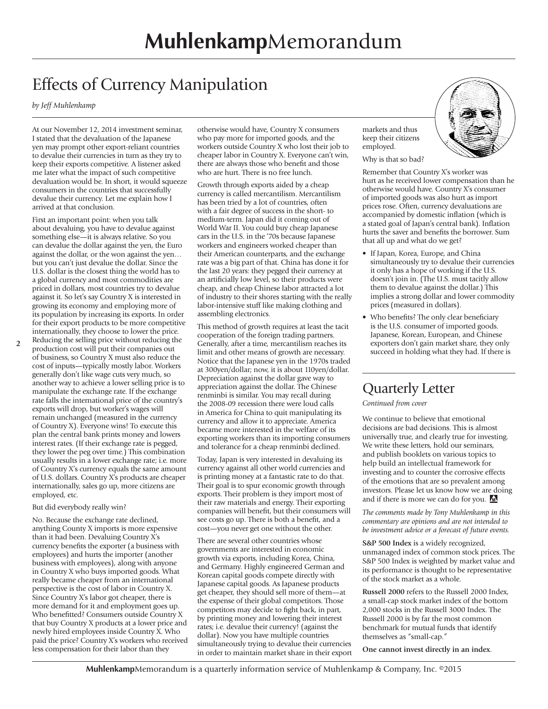# Effects of Currency Manipulation

*by Jeff Muhlenkamp*

At our November 12, 2014 investment seminar, I stated that the devaluation of the Japanese yen may prompt other export-reliant countries to devalue their currencies in turn as they try to keep their exports competitive. A listener asked me later what the impact of such competitive devaluation would be. In short, it would squeeze consumers in the countries that successfully devalue their currency. Let me explain how I arrived at that conclusion.

First an important point: when you talk about devaluing, you have to devalue against something else—it is always relative. So you can devalue the dollar against the yen, the Euro against the dollar, or the won against the yen… but you can't just devalue the dollar. Since the U.S. dollar is the closest thing the world has to a global currency and most commodities are priced in dollars, most countries try to devalue against it. So let's say Country X is interested in growing its economy and employing more of its population by increasing its exports. In order for their export products to be more competitive internationally, they choose to lower the price. Reducing the selling price without reducing the

production cost will put their companies out of business, so Country X must also reduce the cost of inputs—typically mostly labor. Workers generally don't like wage cuts very much, so another way to achieve a lower selling price is to manipulate the exchange rate. If the exchange rate falls the international price of the country's exports will drop, but worker's wages will remain unchanged (measured in the currency of Country X). Everyone wins! To execute this plan the central bank prints money and lowers interest rates. (If their exchange rate is pegged, they lower the peg over time.) This combination usually results in a lower exchange rate; i.e. more of Country X's currency equals the same amount of U.S. dollars. Country X's products are cheaper internationally, sales go up, more citizens are employed, etc.

## But did everybody really win?

No. Because the exchange rate declined, anything County X imports is more expensive than it had been. Devaluing Country X's currency benefits the exporter (a business with employees) and hurts the importer (another business with employees), along with anyone in Country X who buys imported goods. What really became cheaper from an international perspective is the cost of labor in Country X. Since Country X's labor got cheaper, there is more demand for it and employment goes up. Who benefitted? Consumers outside Country X that buy Country X products at a lower price and newly hired employees inside Country X. Who paid the price? Country X's workers who received less compensation for their labor than they

otherwise would have, Country X consumers who pay more for imported goods, and the workers outside Country X who lost their job to cheaper labor in Country X. Everyone can't win, there are always those who benefit and those who are hurt. There is no free lunch.

Growth through exports aided by a cheap currency is called mercantilism. Mercantilism has been tried by a lot of countries, often with a fair degree of success in the short- to medium-term. Japan did it coming out of World War II. You could buy cheap Japanese cars in the U.S. in the '70s because Japanese workers and engineers worked cheaper than their American counterparts, and the exchange rate was a big part of that. China has done it for the last 20 years: they pegged their currency at an artificially low level, so their products were cheap, and cheap Chinese labor attracted a lot of industry to their shores starting with the really labor-intensive stuff like making clothing and assembling electronics.

This method of growth requires at least the tacit cooperation of the foreign trading partners. Generally, after a time, mercantilism reaches its limit and other means of growth are necessary. Notice that the Japanese yen in the 1970s traded at 300yen/dollar; now, it is about 110yen/dollar. Depreciation against the dollar gave way to appreciation against the dollar. The Chinese renminbi is similar. You may recall during the 2008-09 recession there were loud calls in America for China to quit manipulating its currency and allow it to appreciate. America became more interested in the welfare of its exporting workers than its importing consumers and tolerance for a cheap renminbi declined.

Today, Japan is very interested in devaluing its currency against all other world currencies and is printing money at a fantastic rate to do that. Their goal is to spur economic growth through exports. Their problem is they import most of their raw materials and energy. Their exporting companies will benefit, but their consumers will see costs go up. There is both a benefit, and a cost—you never get one without the other.

There are several other countries whose governments are interested in economic growth via exports, including Korea, China, and Germany. Highly engineered German and Korean capital goods compete directly with Japanese capital goods. As Japanese products get cheaper, they should sell more of them—at the expense of their global competitors. Those competitors may decide to fight back, in part, by printing money and lowering their interest rates; i.e. devalue their currency! (against the dollar). Now you have multiple countries simultaneously trying to devalue their currencies in order to maintain market share in their export

markets and thus keep their citizens employed.

#### Why is that so bad?

Remember that Country X's worker was hurt as he received lower compensation than he otherwise would have. Country X's consumer of imported goods was also hurt as import prices rose. Often, currency devaluations are accompanied by domestic inflation (which is a stated goal of Japan's central bank). Inflation hurts the saver and benefits the borrower. Sum that all up and what do we get?

- If Japan, Korea, Europe, and China simultaneously try to devalue their currencies it only has a hope of working if the U.S. doesn't join in. (The U.S. must tacitly allow them to devalue against the dollar.) This implies a strong dollar and lower commodity prices (measured in dollars).
- Who benefits? The only clear beneficiary is the U.S. consumer of imported goods. Japanese, Korean, European, and Chinese exporters don't gain market share, they only succeed in holding what they had. If there is

## Quarterly Letter

*Continued from cover*

We continue to believe that emotional decisions are bad decisions. This is almost universally true, and clearly true for investing. We write these letters, hold our seminars, and publish booklets on various topics to help build an intellectual framework for investing and to counter the corrosive effects of the emotions that are so prevalent among investors. Please let us know how we are doing and if there is more we can do for you. M

*The comments made by Tony Muhlenkamp in this commentary are opinions and are not intended to be investment advice or a forecast of future events.*

**S&P 500 Index** is a widely recognized, unmanaged index of common stock prices. The S&P 500 Index is weighted by market value and its performance is thought to be representative of the stock market as a whole.

**Russell 2000** refers to the Russell 2000 Index, a small-cap stock market index of the bottom 2,000 stocks in the Russell 3000 Index. The Russell 2000 is by far the most common benchmark for mutual funds that identify themselves as "small-cap."

**One cannot invest directly in an index**.

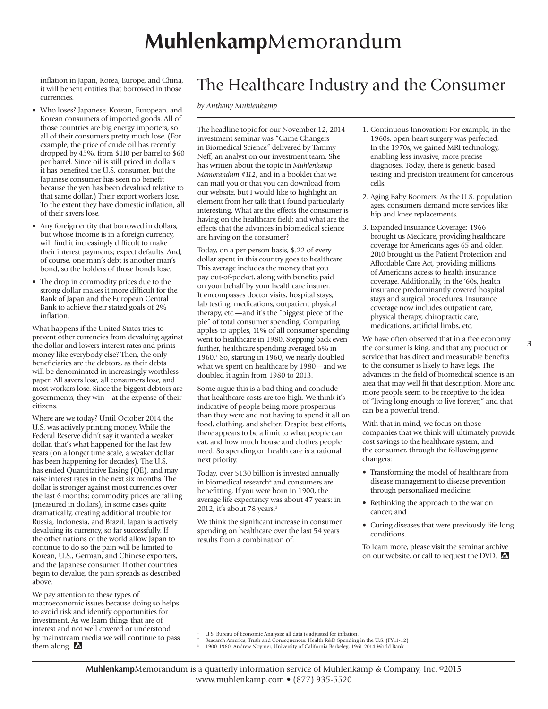inflation in Japan, Korea, Europe, and China, it will benefit entities that borrowed in those currencies.

- Who loses? Japanese, Korean, European, and Korean consumers of imported goods. All of those countries are big energy importers, so all of their consumers pretty much lose. (For example, the price of crude oil has recently dropped by 45%, from \$110 per barrel to \$60 per barrel. Since oil is still priced in dollars it has benefited the U.S. consumer, but the Japanese consumer has seen no benefit because the yen has been devalued relative to that same dollar.) Their export workers lose. To the extent they have domestic inflation, all of their savers lose.
- Any foreign entity that borrowed in dollars, but whose income is in a foreign currency, will find it increasingly difficult to make their interest payments; expect defaults. And, of course, one man's debt is another man's bond, so the holders of those bonds lose.
- The drop in commodity prices due to the strong dollar makes it more difficult for the Bank of Japan and the European Central Bank to achieve their stated goals of 2% inflation.

What happens if the United States tries to prevent other currencies from devaluing against the dollar and lowers interest rates and prints money like everybody else? Then, the only beneficiaries are the debtors, as their debts will be denominated in increasingly worthless paper. All savers lose, all consumers lose, and most workers lose. Since the biggest debtors are governments, they win—at the expense of their citizens.

Where are we today? Until October 2014 the U.S. was actively printing money. While the Federal Reserve didn't say it wanted a weaker dollar, that's what happened for the last few years (on a longer time scale, a weaker dollar has been happening for decades). The U.S. has ended Quantitative Easing (QE), and may raise interest rates in the next six months. The dollar is stronger against most currencies over the last 6 months; commodity prices are falling (measured in dollars), in some cases quite dramatically, creating additional trouble for Russia, Indonesia, and Brazil. Japan is actively devaluing its currency, so far successfully. If the other nations of the world allow Japan to continue to do so the pain will be limited to Korean, U.S., German, and Chinese exporters, and the Japanese consumer. If other countries begin to devalue, the pain spreads as described above.

We pay attention to these types of macroeconomic issues because doing so helps to avoid risk and identify opportunities for investment. As we learn things that are of interest and not well covered or understood by mainstream media we will continue to pass them along. **M** 

## The Healthcare Industry and the Consumer

*by Anthony Muhlenkamp*

The headline topic for our November 12, 2014 investment seminar was "Game Changers in Biomedical Science" delivered by Tammy Neff, an analyst on our investment team. She has written about the topic in *Muhlenkamp Memorandum #112*, and in a booklet that we can mail you or that you can download from our website, but I would like to highlight an element from her talk that I found particularly interesting. What are the effects the consumer is having on the healthcare field; and what are the effects that the advances in biomedical science are having on the consumer?

Today, on a per-person basis, \$.22 of every dollar spent in this country goes to healthcare. This average includes the money that you pay out-of-pocket, along with benefits paid on your behalf by your healthcare insurer. It encompasses doctor visits, hospital stays, lab testing, medications, outpatient physical therapy, etc.—and it's the "biggest piece of the pie" of total consumer spending. Comparing apples-to-apples, 11% of all consumer spending went to healthcare in 1980. Stepping back even further, healthcare spending averaged 6% in 1960.<sup>1</sup> So, starting in 1960, we nearly doubled what we spent on healthcare by 1980—and we doubled it again from 1980 to 2013.

Some argue this is a bad thing and conclude that healthcare costs are too high. We think it's indicative of people being more prosperous than they were and not having to spend it all on food, clothing, and shelter. Despite best efforts, there appears to be a limit to what people can eat, and how much house and clothes people need. So spending on health care is a rational next priority.

Today, over \$130 billion is invested annually in biomedical research<sup>2</sup> and consumers are benefitting. If you were born in 1900, the average life expectancy was about 47 years; in 2012, it's about 78 years.<sup>3</sup>

We think the significant increase in consumer spending on healthcare over the last 54 years results from a combination of:

- 1. Continuous Innovation: For example, in the 1960s, open-heart surgery was perfected. In the 1970s, we gained MRI technology, enabling less invasive, more precise diagnoses. Today, there is genetic-based testing and precision treatment for cancerous cells.
- 2. Aging Baby Boomers: As the U.S. population ages, consumers demand more services like hip and knee replacements.
- 3. Expanded Insurance Coverage: 1966 brought us Medicare, providing healthcare coverage for Americans ages 65 and older. 2010 brought us the Patient Protection and Affordable Care Act, providing millions of Americans access to health insurance coverage. Additionally, in the '60s, health insurance predominantly covered hospital stays and surgical procedures. Insurance coverage now includes outpatient care, physical therapy, chiropractic care, medications, artificial limbs, etc.

We have often observed that in a free economy the consumer is king, and that any product or service that has direct and measurable benefits to the consumer is likely to have legs. The advances in the field of biomedical science is an area that may well fit that description. More and more people seem to be receptive to the idea of "living long enough to live forever," and that can be a powerful trend.

With that in mind, we focus on those companies that we think will ultimately provide cost savings to the healthcare system, and the consumer, through the following game changers:

- Transforming the model of healthcare from disease management to disease prevention through personalized medicine;
- Rethinking the approach to the war on cancer; and
- Curing diseases that were previously life-long conditions.

To learn more, please visit the seminar archive on our website, or call to request the DVD.

<sup>1</sup> U.S. Bureau of Economic Analysis; all data is adjusted for inflation.

<sup>2</sup> Research America; Truth and Consequences: Health R&D Spending in the U.S. (FY11-12)

<sup>3</sup> 1900-1960, Andrew Noymer, University of California Berkeley; 1961-2014 World Bank